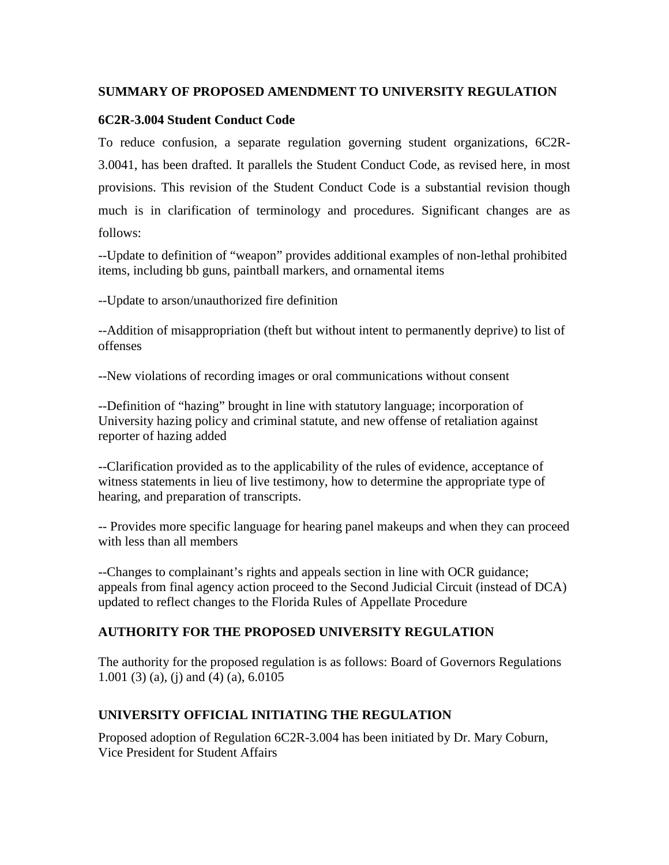#### **SUMMARY OF PROPOSED AMENDMENT TO UNIVERSITY REGULATION**

#### **6C2R-3.004 Student Conduct Code**

To reduce confusion, a separate regulation governing student organizations, 6C2R-3.0041, has been drafted. It parallels the Student Conduct Code, as revised here, in most provisions. This revision of the Student Conduct Code is a substantial revision though much is in clarification of terminology and procedures. Significant changes are as follows:

--Update to definition of "weapon" provides additional examples of non-lethal prohibited items, including bb guns, paintball markers, and ornamental items

--Update to arson/unauthorized fire definition

--Addition of misappropriation (theft but without intent to permanently deprive) to list of offenses

--New violations of recording images or oral communications without consent

--Definition of "hazing" brought in line with statutory language; incorporation of University hazing policy and criminal statute, and new offense of retaliation against reporter of hazing added

--Clarification provided as to the applicability of the rules of evidence, acceptance of witness statements in lieu of live testimony, how to determine the appropriate type of hearing, and preparation of transcripts.

-- Provides more specific language for hearing panel makeups and when they can proceed with less than all members

--Changes to complainant's rights and appeals section in line with OCR guidance; appeals from final agency action proceed to the Second Judicial Circuit (instead of DCA) updated to reflect changes to the Florida Rules of Appellate Procedure

# **AUTHORITY FOR THE PROPOSED UNIVERSITY REGULATION**

The authority for the proposed regulation is as follows: Board of Governors Regulations 1.001 (3) (a), (j) and (4) (a), 6.0105

# **UNIVERSITY OFFICIAL INITIATING THE REGULATION**

Proposed adoption of Regulation 6C2R-3.004 has been initiated by Dr. Mary Coburn, Vice President for Student Affairs